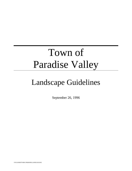# Town of Paradise Valley

# Landscape Guidelines

September 26, 1996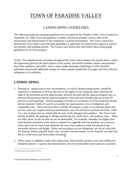# TOWN OF PARADISE VALLEY

# LANDSCAPING GUIDELINES

The following landscape planting guidelines were accepted by the Paradise Valley Town Council on September 26, 1996, to provide guidance to public and private property owners alike in the preservation and enhancement of the community's natural environment. The Town Council has directed the Town Staff to provide these guidelines to applicants for land division approval, special use permits, and building permits. The Council also directs that Staff utilize these landscaping guidelines for all Town projects.

GOAL: Tree-shaded streets and paths throughout the Town which enhance the natural desert, soften the impression given by the hard surfaces of the streets, and shield residents, homes and passersby from heat, pollution, and traffic; and to create ample massings of plantings to offset harmful pollutants and provide additional storage of carbon, greater production of oxygen and more efficient mitigation of air pollution.

# **LANDSCAPING**

- 1. Planting of canopy trees in new developments, as well as along existing streets, should be required at a minimum of 30 foot intervals in the rights of way along the street, between the edge of the pavement and the adjacent path, between the path and the adjacent property line, or between the pavement and the adjacent property. Ironwood trees should make up at least 20 percent of such plantings. Similar plantings of shrubs at a minimum of 20 foot intervals should also be required. Tables #1 and #2 are partial, but representative, lists of indigenous and compatible trees. These lists have been carefully developed in order to recommend plants that are low water use, require minimum maintenance, and will still thrive and look attractive. Table 3 is a list of plants that are undesirable because of the allergens they produce. The Town Code already prohibits the planting of allergen producing non-sterile olive, and mulberry trees. There are other plants on the list that are not recommended. For example, oleanders are highly toxic when burned, poisonous when used as compost for vegetable and fruit gardens, use excessive water, grow out of control and obliterate the view from roadways when not pruned to the maximum allowed wall height. Palms and eucalyptus are not indigenous, are out of scale with the Sonoran Desert, partially block view corridors, become brittle, are fire hazards, can split and fall in a wind storm and have pollen irritants. $<sup>1</sup>$ </sup>
- 2. Where space or sightlines make trees impractical, native shrubs, ground cover and wildflowers should be planted. A partial, but representative, list of recommended native species is attached.

 1  *See also Town Code Section 5-10-13*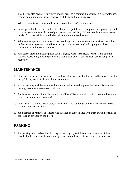This list has also been carefully developed in order to recommend plants that are low water use, require minimum maintenance, and will still thrive and look attractive.

- 3. Where granite is used, it should be desert colored and 3/4" minimum size.
- 4. Developers should use informally sited, desert-compatible, trees and plants, and granite, ground covers or water elements in lieu of grass around the periphery. Where boulders are used, onethird (1/3) of the height should be buried for optimum effectiveness.
- 5. Whenever an application for special use permit approval or amendment is received, the holder of the special use permit should be encouraged to bring existing landscaping into closer conformance with these Guidelines.
- 6. As a safety precaution, spiny plants such as agave, yucca, fero cactus (barrels), and opuntia (prickly pear/cholla) must be planted and maintained at least six feet from pedestrian paths or roadways.

# **MAINTENANCE**

- 1. Plant material which does not survive, and irrigation systems that fail, should be replaced within thirty (30) days of their demise, failure or removal.
- 2. All landscaping shall be maintained in order to enhance and improve the site and keep it in a healthy, neat, clean, weed-free condition.
- 3. Replacement or alteration of landscaping shall be of like size as that which is required herein, or which was removed or destroyed.
- 4. Plant material shall not be severely pruned so that the natural growth pattern or characteristic form is significantly altered.
- 5. Modification or removal of landscaping installed in conformance with these guidelines shall be approved in advance by the Town.

# **PARKING**

1. The parking areas and outdoor lighting of any property which is regulated by a special use permit should be screened from view by a dense combination of trees, walls, earth berms,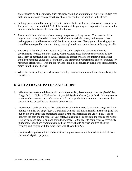and/or bushes on all perimeters. Such plantings should be a minimum of six feet deep, two feet high, and contain one canopy desert tree at least every 30 feet in addition to the shrubs.

- 2. Parking spaces should be interspersed with islands planted with desert shrubs and canopy trees. The planted areas should total 25% of the interior of the parking area to provide for shade and to minimize the heat island effect and visual pollution.
- 3. There should be a minimum of one canopy tree per ten parking spaces. The trees should be large enough when planted to have established a mature shade canopy in three years. No parking space should be more than 50 feet from a canopy tree. Every group of parking spaces should be interrupted by planting. Long, skinny planted areas are the least satisfactory visually.
- 4. Because parking lots of impermeable materials such as asphalt or concrete are hostile environments for trees and other plants, where possible, trees should be surrounded by 300 square feet of permeable space, such as stabilized granite or grates (no impervious material should be permitted under any tree dripline), and protected by intermittent curbs or bumpers for maximum effectiveness. Parking lot surfaces should be contoured in such a way that sheet flow drains into the planted areas.
- 5. When the entire parking lot surface is permeable, some deviation from these standards may be considered.

# **RECREATIONAL PATHS AND CURBS**

- 1. Where curbs are required they should be ribbon or rolled, desert colored concrete (Davis' San Diego Buff: 1 1/2 lbs. # 5237 per bag of type 1-2 Portland Cement), salt finish. If water control or some other circumstance indicate a vertical curb is preferable, then it must be specifically recommended by staff to the Planning Commission.
- 2. Recreational paths shall be six feet wide, desert colored concrete (Davis' San Diego Buff: 1.5 pounds No. 5237 per bag of type 1-2 Portland Cement), salt finish, slightly meandering and laid out on site by a landscape architect to assure a random appearance and usable planter space between the path and the road. For user safety, paths must be as far from the road as the right of way permits, and grades, or slope should not exceed 1:20 in order to comply with accessibility guidelines. Transitions from ramps to paths or streets should be flush and free of abrupt changes, and comply with the Americans with Disabilities Act.
- 3. In areas where paths abut lots and/or residences, provisions should be made to install sleeves for water/irrigation purposes.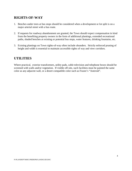# **RIGHTS-OF-WAY**

- 1. Benches under trees at bus stops should be considered when a development or lot split is on a major arterial street with a bus route.
- 2. If requests for roadway abandonment are granted, the Town should expect compensation in kind from the benefiting property owners in the form of additional plantings, extended recreational paths, shaded benches at existing or potential bus stops, water features, drinking fountains, etc.
- 3. Existing plantings on Town rights-of-way often include oleanders. Strictly enforced pruning of height and width is essential to maintain accessible rights of way and view corridors.

# **UTILITIES**

Where practical, exterior transformers, utility pads, cable television and telephone boxes should be screened with walls and/or vegetation. If visible off-site, such facilities must be painted the same color as any adjacent wall, or a desert compatible color such as Frazee's "Asteroid".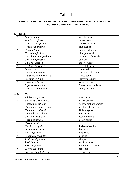# **Table 1**

# **LOW WATER USE DESERT PLANTS RECOMMENDED FOR LANDSCAPING - INCLUDING BUT NOT LIMITED TO:**

#### **1. TREES**

| $\ast$ | Acacia smallii            | sweet acacia           |
|--------|---------------------------|------------------------|
|        | Acacia schaffneri         | twisted acacia         |
|        | Acacaia stenophylla       | shoe string acacia     |
|        | Acacia willardiana        | palo blanco            |
| $\ast$ | Celtis pallida            | desert hackberry       |
| $\ast$ | Cercidium floridum        | blue palo verde        |
| $\ast$ | Cercidium microphyllum    | little-leaf palo verde |
|        | Cercidium praecox         | palo brea              |
| $\ast$ | Chilopsis linearis        | desert willow          |
| $\ast$ | Lysiloma thornberi        | fern of the desert     |
| $\ast$ | Olneya tesota             | ironwood               |
|        | Parkinsonia aculeata      | Mexican palo verde     |
|        | Pithecellobium flexicaule | Texas ebony            |
|        | Prosopis juliflora        | Native mesquite        |
| $\ast$ | Prosopis velutina         | velvet mesquite        |
|        | Sophora secundiflora      | Texas mountain laurel  |
| $\ast$ | Prosopis Glandulosa       | honey mesquite         |

.

#### **2. SHRUBS**

| $\ast$ | Atiplex lentiformis           | quail bush              |
|--------|-------------------------------|-------------------------|
| $\ast$ | <b>Baccharis</b> sarothroides | desert broom            |
|        | Caesalpinia gilliesii         | yellow bird of paradise |
|        | Caesalpinia pulcherrima       | red bird of paradise    |
|        | Calliandra californica        | Baja fairyduster        |
| $\ast$ | Calliandra eriophylla         | fairyduster             |
|        | Cassia artemisioides          | feathery cassia         |
|        | Cassia nemophila              | desert cassia           |
|        | Cassia sturtii                |                         |
| $\ast$ | Cordia parvifolia             | little-leaf cordia      |
| $\ast$ | Dodonaea viscosa              | hopbush                 |
| $\ast$ | Encelia farinosa              | brittlebush             |
| $\ast$ | Fouquieria splendens          | ocotillo                |
| $\ast$ | Justicia californica          | chuparosa               |
|        | Justicia ovata                | red firecracker         |
|        | Justicia spicigera            | hummingbird bush        |
| $\ast$ | Larrea tridentata             | creosote                |
|        | Leucophyllum frutescens       | Texas ranger            |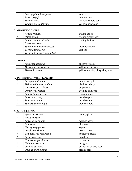| Leucophyllum laevigatum | cenizo               |
|-------------------------|----------------------|
| Salvia greggii          | autumn sage          |
| Tecoma stans            | Arizona yellow bells |
| Vauquelinia californica | Arizona rosewood     |

### **3. GROUNDCOVERS**

|        | Acacia redolens               | trailing acacia     |
|--------|-------------------------------|---------------------|
| $\ast$ | Dalea greggii                 | trailing smoke bush |
|        | Lantana montevidensis         | trailing lantana    |
|        | Santolina virens              |                     |
|        | Santolina chamaecyparissus    | lavender cotton     |
|        | Verbena tenuisecta            | verbena             |
|        | Verbena tenera (V. pulchella) |                     |

# **4. VINES**

| Antigonon leptopus   | queen's wreath                  |
|----------------------|---------------------------------|
| Mascagnia macroptera | yellow orchid vine              |
| Merremia aurea       | yellow morning glory vine, yuca |

# **5. PERENNIAL WILDFLOWERS**

| $*$    | Baileya multiradiata   | desert marigold  |
|--------|------------------------|------------------|
| $*$    | Melampodium leucanthum | blackfoot daisy  |
|        | Nierembergia violacea  | purple cups      |
|        | Oenothera speciosa     | evening primrose |
|        | Pennisetum setaceum    | fountain grass   |
| $*$    | Penstemon parryi       | beardtongue      |
| $\ast$ | Penstemon eatoni       | beardtongue      |
| $*$    | Sphaeralcea ambigua    | globe mallow     |

# **6. SUCCULENTS**

|        | Agave americana          | century plant           |
|--------|--------------------------|-------------------------|
| $\ast$ | Agave murpheyi           |                         |
|        | Agave vilmoriniana       | octopus agave           |
|        | Aloe vera                | aloe vera               |
| $\ast$ | Carnegiea gigantea       | saguaro                 |
| $\ast$ | Dasylirion wheeleri      | desert spoon            |
| $\ast$ | Echinocereus engelmannii | hedgehog cactus         |
| $\ast$ | Ferocactus spp.          | barrel cactus           |
|        | Hesperaloe parviflora    | red yucca               |
| $\ast$ | Nolina microcarpa        | beargrass               |
| $\ast$ | Opuntia basilaris        | beavertail prickly pear |
|        | Opuntia engelmannii      | prickly pear            |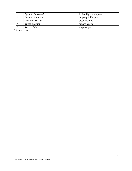|   | Opuntia ficus-indica | Indian fig prickly pear |
|---|----------------------|-------------------------|
| ∗ | Opuntia santa-rita   | purple prickly pear     |
|   | Portulacaria afra    | elephant food           |
| ∗ | Yucca baccata        | banana yucca            |
| ∗ | Yucca elata          | soaptree yucca          |

\* Arizona native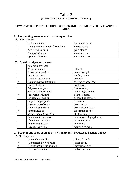# **Table 2 (TO BE USED IN TOWN RIGHT OF WAY)**

# **LOW WATER USE DESERT TREES, SHRUBS AND GROUND COVER BY PLANTING AREA**

# **1. For planting areas as small as 3 -4 square feet:**

# **A. Tree species**

|        | Botanical name                  | <b>Common Name</b> |
|--------|---------------------------------|--------------------|
| ∗      | Acacia minuta/acacia farnesiana | sweet acacia       |
| $\ast$ | Acacia willardian               | palo blanco        |
|        | Chilopsis linearis              | desert willow      |
|        | Lysiloma thornberi              | desert fern tree   |

#### **B. Shrubs and ground covers**

|        | Ambrosia deltoidea       |                           |
|--------|--------------------------|---------------------------|
|        | Atriplex canescens       | saltbush                  |
|        | Baileya multiradiata     | desert marigold           |
|        | Cassia wislizeni         | shrubby senna             |
|        | Dyssodia pentachaeta     | dyssodia                  |
| $\ast$ | Echinocereus engelmannii | strawberry hedgehog       |
|        | Encelia farinosa         | brittlebush               |
|        | Erigeron divergens       | fleabane daisy            |
|        | Eschscholtzia mexicana   | mexican goldpoppy         |
| $\ast$ | Ferocactus wislizeni     | fishhook barrel           |
|        | Gaillardia arizonica     | arizona blanketflower     |
|        | Hesperaloe pariflora     | red yucca                 |
|        | Lupinus sparsiflorus-    | deser\ lupine             |
|        | Sphaeralcea ambigua      | desert globemallow        |
| $\ast$ | Mammillaria sp           | Pincushion cactus         |
|        | Melampodium leucanthum   | blackfoot daisy           |
|        | Oenothera berlandieri    | mexican evening -primrose |
|        | Thamnosma montana        | turpentine bush           |
|        | Viguiera multiflora      | golden eye                |
|        | Verbena peruviana        | peruvian verbena          |

# **2. For planting areas as small as 4 -6 square feet, inclusive of Section 1 above: A. Tree species**

| ∗ | Cercidium floridum       | blue paloverde  |
|---|--------------------------|-----------------|
|   | Pithecelobium flexicaule | texas ebony     |
|   | Pithecelobium mexicanum  | mexican ebony   |
|   | Prosopis velutina        | velvet mesquite |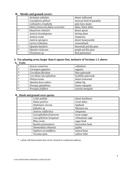# **B. Shrubs and ground covers:**

|        | Asclepias subulata                 | desert milkweed          |
|--------|------------------------------------|--------------------------|
|        | Caesalpinia gilliesii              | mexican bird-of-paradise |
|        | Calliandra eriophylla              | pink fairy duster        |
|        | Dalea frutescens; dalea versicolor | dalea, black dalea       |
| $\ast$ | Dasylirion wheeleri                | desert spoon             |
|        | Justicia brandegeana               | shrimp plant             |
|        | Justicia ovata                     | chuparosa                |
|        | Justicia spicigera                 | desert honeysuckle       |
|        | Larrea tridentata                  | creosotebush             |
| $\ast$ | Opuntia basilaris                  | beavertail prickly-pear  |
| $\ast$ | Opuntia violaceae                  | purple prickly-pear      |
|        | Penstemon sp                       | Red penstemon            |

# **3. For planting areas larger than 6 square feet, inclusive of Sections 1-2 above:**

# **A. Trees**

| $\ast$ | Acacia constricta      | whitehorn           |
|--------|------------------------|---------------------|
| $\ast$ | Carnegiea gigantea     | saguaro             |
| $\ast$ | Cercidium floridum     | blue paloverde      |
| $\ast$ | Cercidium microphyllum | foothills paloverde |
| $\ast$ | Olneya tesota          | desert ironwood     |
| $\ast$ | Opuntia ficus-indica   | indian fig          |
| $\ast$ | Prosopis glandulosa    | honey mesquite      |
| $\ast$ | Prosopis juliflora     | arizona mesquite    |

### **B. Shrub and ground cover species**

| Celtis pallida          | desert hackberry |
|-------------------------|------------------|
| Dalea pulchra           | sweet dalea      |
| Dodonaea viscosa        | hopbush          |
| Ephedra sp              | Mormon tea       |
| Justicia californica    | chuparosa        |
| Leucophyllum frutescens | texas ranger     |
| Leucophyllum lavigatum  | chihuahuan sage  |
| Rhus ovata              | sugar bush       |
| Ruellia peninsularis    | firecracker bush |
| Simmondsia chinensis    | jojoba           |
| Sophora secundiflora    | mescal bean      |
| Tecoma stans            | yellow bells     |

\* a plant with thorns/spines that can be a hazard in a pedestrian pathway.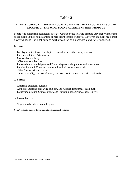# **Table 3**

# **PLANTS COMMONLY SOLD IN LOCAL NURSERIES THAT SHOULD BE AVOIDED BECAUSE OF THE WIND-BORNE ALLERGENS THEY PRODUCE**

People who suffer from respiratory allergies would be wise to avoid planting very many wind-borne pollen plants in their home gardens or near their bedroom windows. However, if a plant has a short flowering period it will not cause as much discomfort as a plant with a long flowering period.

### **1. Trees**

Eucalyptus microtheca, Eucalyptus leucoxylon, and other eucalyptus trees Fraxinus velutina, Arizona ash Morus alba, mulberry \*Olea europa, olive tree Pinus eldarica, mondel pine, and Pinus halepensis, aleppo pine, and other pines Populus fremonti, Fremont cottonwood, and all male cottonwoods \*Rhus lancea, African sumac Tamarix aphylly, Tamarix africana, Tamarix parviflora, etc. tamarisk or salt cedar

# **2. Shrubs**

Ambrosia deltoidea, bursage

Atriplex canescens, four wing saltbush, and Atriplex lentiformis, quail bush Ligustrum lucidum, Chinese privet, and Ligustrum japonicum, Japanese privet

# **3. Groundcovers**

\*Cynodon dactylon, Bermuda grass

Note: \* indicates those with the longest pollen production times.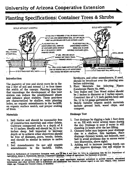# University of Arizona Cooperative Extension

# Planting Specifications: Container Trees & Shrubs



#### Introduction

The majority of tree and shrub roots lie in the top 2 feet of soil and extend 1.5 to four times the width of the canopy. Planting practices that encourage the development of this root system can reduce the establishment phase and enhance plant stability. These practices are characterized by shallow, wide planting holes, no organic amendments in the backfill, an organic surface mulch, and proper staking of  $t$ rees.  $\ddot{\phantom{a}}$ .

#### Materials -

- 1. Soil: Native soil should be reasonably free of construction materials and other debris. Cultivate compacted soils to a depth of 8 to 10 inches. Ideally soil should be 18 to 24 inches deep. Soil imported to increase depth or to achieve other objectives should be free of diseases, pests, weeds, debris, and should be similar in texture to native soil.
- 2. Soil Amendments: Do not add organic Sulfur. amendments to the backfill.

fertilizers, and other amendments, if used, should be broadcast over the planting area before cultivating.

- 3. Plant Materials: See Selecting Plants (Landscape Plants No. ###).
- 4. Tree Stakes and Ties: Wood stakes should be 2 inches in diameter or 2 inches square. Construct ties of 1/2 inch garden hose and No. 12 to 14 gauge galvanized wire.
- 5. Mulch: Suitable organic mulch materials include ground bark, wood chips, and compost.

#### **Drainage Test**

- 1. Test drainage by digging a hole 1 foot deep or so. Fill with water several times during the day. Drainage is poor if water is still standing 24 hours after the last filling.
- 2. Chimney holes may improve poor drainage due to a shallow, thin hardpan. Place drainage chimney beside, not beneath, root ball to avoid problems due to excess water (see illustration, above right).
- 3. Adding soil to increase rooting depth can also improve drainage. Use soil similar in

Issued in furtherance of Cooperative Extension work, acts of May 8 and June 30, 1914, in cooperation with the U.S. Department of Agriculture, James A. Christenson, Director, Cooperative Extension, College of Agriculture, The University of Arizona. 5100 TO 150

The University of Arizona College of Agriculture is an equal opportunity employer authorized to provide research, educational<br>information and other services only to individuals and institutions that function without regard origin, age, Vietnam Era Veteran's status, or disability.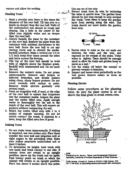texture and allow for settling.

 $\sim$ 

#### **Planting Trees**

1. Mark a circular area three to five times the diameter of the root ball. Till this area to a depth no deeper than the root ball. Walls of the undisturbed soil should be rough and sloping. Dig a hole in the center of the tilled area slightly wider and no deeper than the root ball.

لقيور والعام

- 2. Always handle the plant by the container or the root ball. Remove the plant from the container with minimal disturbance to the root ball. Score the root ball to cut any circling roots and to disturb the mediabackfill interface. Make a vertical cut 1/4 to 1/2 inch deep four times around the sides and twice across the bottom.
- 3. The top of the root ball should be level with or slightly above the finished grade. Backfill with unamended soil. Do not pack the soil. معتربات بدينا
- 4. Remove the nursery stake. Do not prune unnecessarily. Remove only broken or infected branches, and double leaders using clean, sharp bypass pruners. Do not cover wounds with sealant or paint. Remove trunk sprouts gradually over several years.
- 5. Form an irrigation well, if used, at the edge of the root ball to ensure that irrigations wet the container media. Irrigate the plant and the entire tilled area. Apply enough water to thoroughly wet the soil to the depth of the root ball. This will remove air pockets without compacting the soil.
- 6. Mulch the entire tilled area with 3 to 4 inches of organic material. Do not let mulch contact the trunk. If planting in a lawn, keep the tilled area free of grass.

#### **Staking Trees**

- 1. Do not stake trees unnecessarily. If staking is required, use two stakes only. Place them outside the root ball and irrigation well at right angles to the prevailing wind. Make sure stakes penetrate undisturbed soil at least 6 inches.
- 2. To determine tie height, hold trunk with one hand and bend canopy to one side. If canopy does not return to an upright position, move up the trunk and try again. Find lowest point on trunk at which the canopy will return to an upright position. Place ties about 6 inches above this point.

Use one set of ties only.

Protect trunk from tie wire by enclosing the wires in garden hose. The garden hose should be just long enough to loop around the trunk. Twist wires to keep the garden hose from moving along the wire. The trunk should not move inside the garden hose loop.



- 4. Fasten wires to stake so the cut ends are between the stake and the tree, not exposed on the outside of the stake. Twist wires to tighten. There should be enough slack to allow the trunk and garden hose to move as a unit.
- 5. Cut the stakes off below the canopy to prevent wounds to branches.
- 6. Inspect and loosen wires periodically as the tree grows. Remove stakes as soon aspossible.

#### **Planting Shrubs**

erek e.

Follow same procedures as for planting trees. Be sure the plant crown is at or above the final grade to avoid crown rots.



8/96

Prepared by Dr. Jimmy L. Tipton, Arid Ornamentals Extension Specialist. University of Arizona Department of Plant Sciences.

Draft version. Contact Dr. Tipton at 520 621-1060 (voice), 520 621-7186 (fax), or jtipton@ag.arizona.edu (email) with comments.